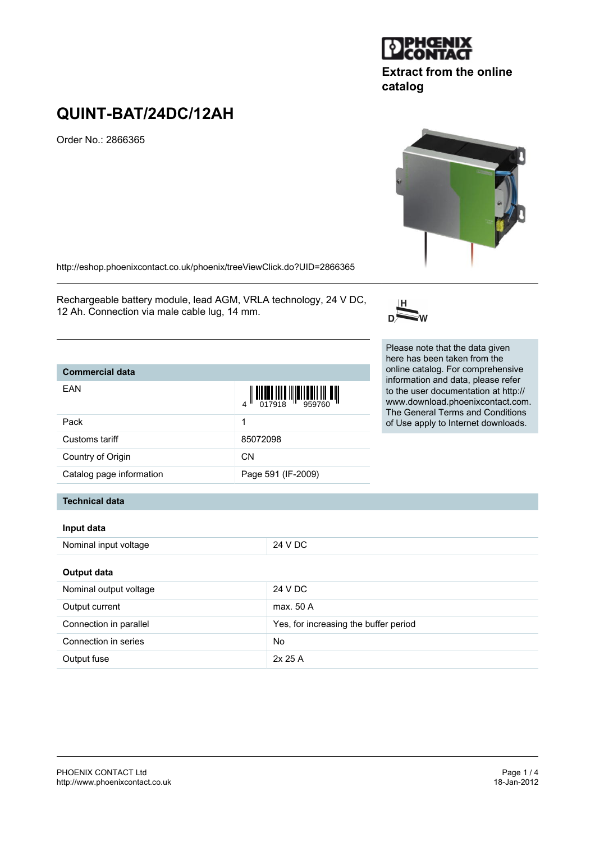# **QUINT-BAT/24DC/12AH** Order No.: 2866365

<http://eshop.phoenixcontact.co.uk/phoenix/treeViewClick.do?UID=2866365>

Rechargeable battery module, lead AGM, VRLA technology, 24 V DC, 12 Ah. Connection via male cable lug, 14 mm.

#### Please note that the data given here has been taken from the online catalog. For comprehensive information and data, please refer to the user documentation at http:// www.download.phoenixcontact.com. The General Terms and Conditions of Use apply to Internet downloads.



**catalog**



| <b>DIPHŒNIX</b><br>LONTACT |
|----------------------------|
|----------------------------|

**Extract from the online**

## Customs tariff 85072098

Pack and the contract of the contract of the contract of the contract of the contract of the contract of the contract of the contract of the contract of the contract of the contract of the contract of the contract of the c

Country of Origin CN

**Commercial data**

EAN

Catalog page information Page 591 (IF-2009)

## **Technical data**

#### **Input data**

| Nominal input voltage  | 24 V DC                               |  |  |  |
|------------------------|---------------------------------------|--|--|--|
| Output data            |                                       |  |  |  |
| Nominal output voltage | 24 V DC                               |  |  |  |
| Output current         | max. 50 A                             |  |  |  |
| Connection in parallel | Yes, for increasing the buffer period |  |  |  |
| Connection in series   | No                                    |  |  |  |
| Output fuse            | 2x 25A                                |  |  |  |

 $\begin{array}{c} 4 \end{array} \begin{array}{c} \begin{array}{c} \begin{array}{c} \begin{array}{c} \end{array} \\ \begin{array}{c} \end{array} \\ \begin{array}{c} \end{array} \\ \begin{array}{c} \end{array} \\ \begin{array}{c} \end{array} \\ \begin{array}{c} \end{array} \\ \begin{array}{c} \end{array} \\ \begin{array}{c} \end{array} \\ \begin{array}{c} \end{array} \\ \begin{array}{c} \end{array} \\ \begin{array}{c} \end{array} \\ \begin{array}{c} \end{array} \\ \begin{array}{c} \end{array} \\ \begin{array}{c} \end{array} \\ \begin{$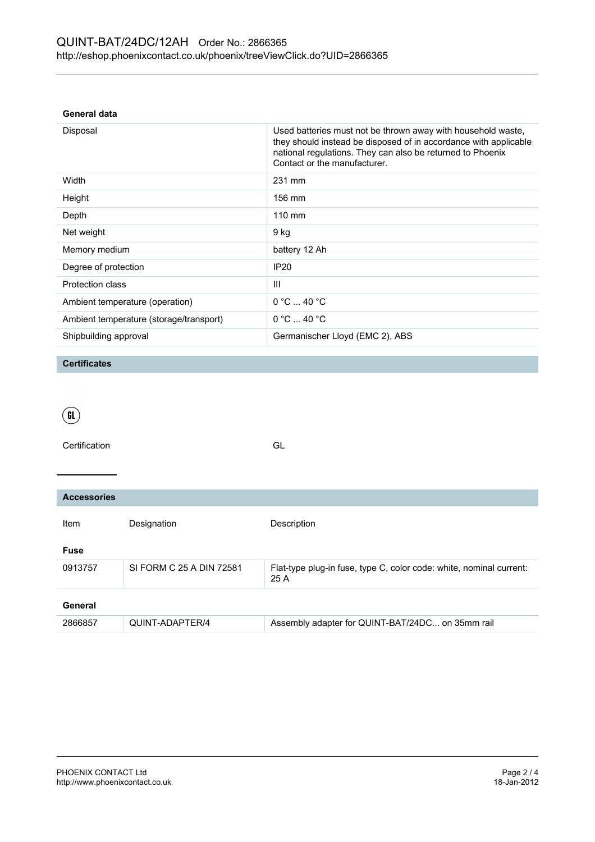## **General data**

| Disposal                                | Used batteries must not be thrown away with household waste,<br>they should instead be disposed of in accordance with applicable<br>national regulations. They can also be returned to Phoenix<br>Contact or the manufacturer. |
|-----------------------------------------|--------------------------------------------------------------------------------------------------------------------------------------------------------------------------------------------------------------------------------|
| Width                                   | 231 mm                                                                                                                                                                                                                         |
| Height                                  | $156 \text{ mm}$                                                                                                                                                                                                               |
| Depth                                   | $110 \text{ mm}$                                                                                                                                                                                                               |
| Net weight                              | 9 kg                                                                                                                                                                                                                           |
| Memory medium                           | battery 12 Ah                                                                                                                                                                                                                  |
| Degree of protection                    | <b>IP20</b>                                                                                                                                                                                                                    |
| <b>Protection class</b>                 | Ш                                                                                                                                                                                                                              |
| Ambient temperature (operation)         | $0^{\circ}$ C $$ 40 $^{\circ}$ C                                                                                                                                                                                               |
| Ambient temperature (storage/transport) | $0^{\circ}$ C $$ 40 $^{\circ}$ C                                                                                                                                                                                               |
| Shipbuilding approval                   | Germanischer Lloyd (EMC 2), ABS                                                                                                                                                                                                |

### **Certificates**

| a ka<br>×<br>۰ |  |
|----------------|--|
|                |  |
| ۰.             |  |
|                |  |

Certification GL

| <b>Accessories</b> |                          |                                                                             |  |  |
|--------------------|--------------------------|-----------------------------------------------------------------------------|--|--|
| Item               | Designation              | Description                                                                 |  |  |
| <b>Fuse</b>        |                          |                                                                             |  |  |
| 0913757            | SI FORM C 25 A DIN 72581 | Flat-type plug-in fuse, type C, color code: white, nominal current:<br>25 A |  |  |
| General            |                          |                                                                             |  |  |
| 2866857            | QUINT-ADAPTER/4          | Assembly adapter for QUINT-BAT/24DC on 35mm rail                            |  |  |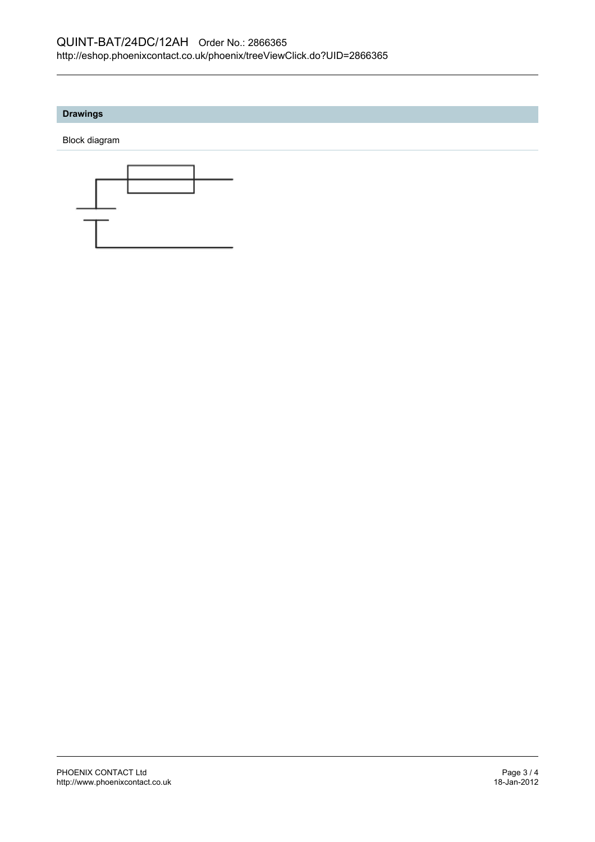## **Drawings**

Block diagram